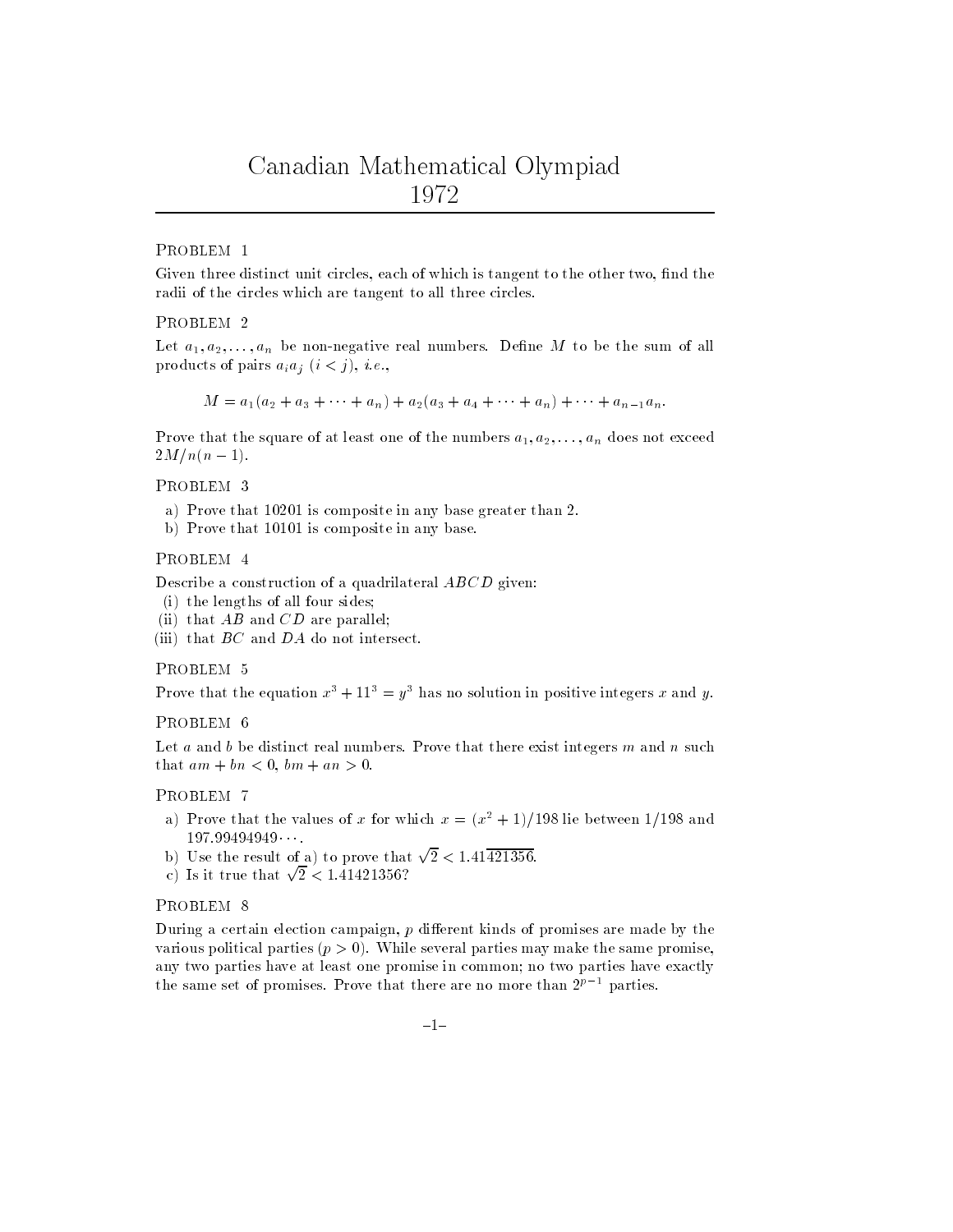# PROBLEM <sup>1</sup>

Given three distinct unit circles, each of which is tangent to the other two, find the radii of the circles which are tangent to all three circles.

#### PROBLEM <sup>2</sup>

Let  $a_1, a_2, \ldots, a_n$  be non-negative real numbers. Define  $m$  to be the sum of all products of pairs  $a_i a_j$  (i.e., i.e.,

 $M = a_1(a_2 + a_3 + \cdots + a_n) + a_2(a_3 + a_4 + \cdots + a_n) + \cdots + a_{n-1}a_n.$ 

**Prove that the square of at least one of the numbers**  $a_1, a_2, \ldots, a_n$  **does not exceed**  $2M/n(n - 1)$ .

### PROBLEM <sup>3</sup>

- a) Prove that 10201 is composite in any base greater than 2.
- b) Prove that 10101 is composite in any base.

#### PROBLEM <sup>4</sup>

 $D$ escribe a construction or a quadrilateral  $ADCD$  given.

- (i) the lengths of all four sides;
- (ii) that  $AD$  and  $CD$  are parallel;
- $\lim$  that  $D\cup$  and  $D\cap$  do not intersect.

#### PROBLEM <sup>5</sup>

Prove that the equation  $x^* + 11^* \equiv y^*$  has no solution in positive integers  $x$  and  $y$ .

#### PROBLEM <sup>6</sup>

Let a and  $\nu$  be distinct real numbers. Frove that there exist integers  $m$  and  $n$  such that and  $\vert$  bn  $\vert$  bn  $\vert$  and  $\vert$  and  $\vert$ 

#### PROBLEM <sup>7</sup>

- a) Prove that the values of x for which  $x = (x^2 + 1)/198$  lie between 1/198 and 197.99494949
- b) Use the result of a) to prove that  $\sqrt{2}$  < 1.41 $\overline{421356}$ .
- c) Is it true that  $\sqrt{2} < 1.41421356$ ?

### PROBLEM<sub>8</sub>

During a certain election campaign, p dierent kinds of promises are made by the various political parties  $(p > 0)$ . While several parties may make the same promise, any two parties have at least one promise in common; no two parties have exactlythe same set of promises. Prove that there are no more than  $2^{p-1}$  parties.